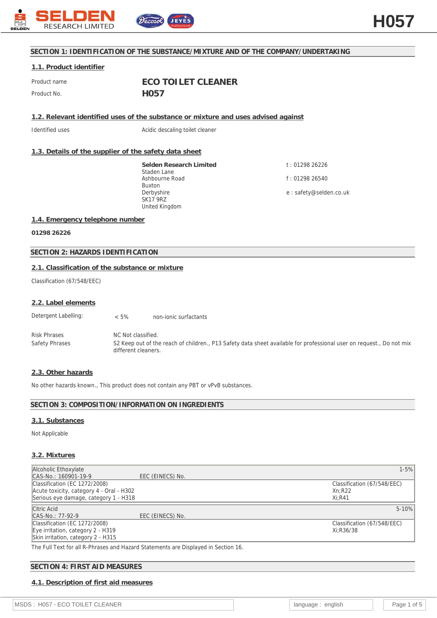

# **SECTION 1: IDENTIFICATION OF THE SUBSTANCE/MIXTURE AND OF THE COMPANY/UNDERTAKING**

# **1.1. Product identifier**

Product name **ECO TOILET CLEANER** Product No. **H057** 

**1.2. Relevant identified uses of the substance or mixture and uses advised against**

Identified uses **Acidic descaling toilet cleaner** 

# **1.3. Details of the supplier of the safety data sheet**

**Selden Research Limited** Staden Lane Ashbourne Road Buxton Derbyshire SK17 9RZ United Kingdom

t : 01298 26226 f : 01298 26540 e : safety@selden.co.uk

### **1.4. Emergency telephone number**

**01298 26226**

# **SECTION 2: HAZARDS IDENTIFICATION**

### **2.1. Classification of the substance or mixture**

Classification (67/548/EEC)

#### **2.2. Label elements**

| Detergent Labelling: | $< 5\%$ | non-jonic surfactants |
|----------------------|---------|-----------------------|
|----------------------|---------|-----------------------|

Risk Phrases NC Not classified. Safety Phrases S2 Keep out of the reach of children., P13 Safety data sheet available for professional user on request., Do not mix different cleaners.

#### **2.3. Other hazards**

No other hazards known., This product does not contain any PBT or vPvB substances.

# **SECTION 3: COMPOSITION/INFORMATION ON INGREDIENTS**

#### **3.1. Substances**

Not Applicable

### **3.2. Mixtures**

| Alcoholic Ethoxylate                     |                  | $1 - 5%$                    |
|------------------------------------------|------------------|-----------------------------|
| CAS-No.: 160901-19-9                     | EEC (EINECS) No. |                             |
| Classification (EC 1272/2008)            |                  | Classification (67/548/EEC) |
| Acute toxicity, category 4 - Oral - H302 |                  | Xn:R22                      |
| Serious eye damage, category 1 - H318    |                  | $Xi:$ R41                   |
| Citric Acid                              |                  | $5 - 10%$                   |
| CAS-No.: 77-92-9                         | EEC (EINECS) No. |                             |
| Classification (EC 1272/2008)            |                  | Classification (67/548/EEC) |
| Eye irritation, category 2 - H319        |                  | Xi:R36/38                   |
| Skin irritation, category 2 - H315       |                  |                             |
| $-1$ $-1$ $-1$ $-1$ $-1$ $-1$            |                  |                             |

The Full Text for all R-Phrases and Hazard Statements are Displayed in Section 16.

# **SECTION 4: FIRST AID MEASURES**

# **4.1. Description of first aid measures**

MSDS : H057 - ECO TOILET CLEANER language : english Page 1 of 5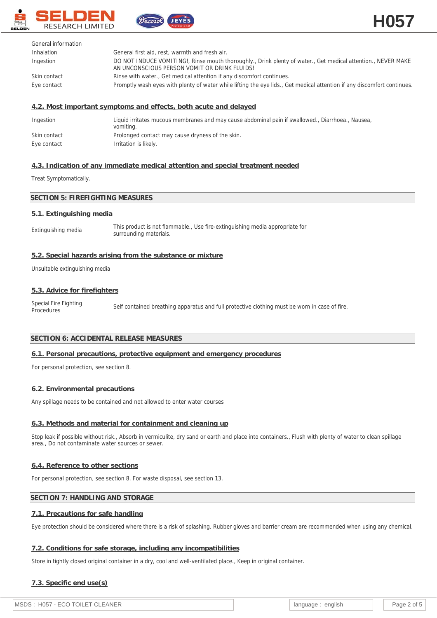



| General information |                                                                                                                                                              |
|---------------------|--------------------------------------------------------------------------------------------------------------------------------------------------------------|
| Inhalation          | General first aid, rest, warmth and fresh air.                                                                                                               |
| Ingestion           | DO NOT INDUCE VOMITING!, Rinse mouth thoroughly., Drink plenty of water., Get medical attention., NEVER MAKE<br>AN UNCONSCIOUS PERSON VOMIT OR DRINK FLUIDS! |
| Skin contact        | Rinse with water., Get medical attention if any discomfort continues.                                                                                        |
| Eye contact         | Promptly wash eyes with plenty of water while lifting the eye lids., Get medical attention if any discomfort continues.                                      |

# **4.2. Most important symptoms and effects, both acute and delayed**

ecosol

| Ingestion    | Liquid irritates mucous membranes and may cause abdominal pain if swallowed., Diarrhoea., Nausea,<br>vomiting. |
|--------------|----------------------------------------------------------------------------------------------------------------|
| Skin contact | Prolonged contact may cause dryness of the skin.                                                               |
| Eye contact  | Irritation is likely.                                                                                          |

# **4.3. Indication of any immediate medical attention and special treatment needed**

#### Treat Symptomatically.

# **SECTION 5: FIREFIGHTING MEASURES**

### **5.1. Extinguishing media**

Extinguishing media This product is not flammable., Use fire-extinguishing media appropriate for surrounding materials.

### **5.2. Special hazards arising from the substance or mixture**

Unsuitable extinguishing media

## **5.3. Advice for firefighters**

Special Fire Fighting<br>Procedures Self contained breathing apparatus and full protective clothing must be worn in case of fire.

### **SECTION 6: ACCIDENTAL RELEASE MEASURES**

### **6.1. Personal precautions, protective equipment and emergency procedures**

For personal protection, see section 8.

### **6.2. Environmental precautions**

Any spillage needs to be contained and not allowed to enter water courses

### **6.3. Methods and material for containment and cleaning up**

Stop leak if possible without risk., Absorb in vermiculite, dry sand or earth and place into containers., Flush with plenty of water to clean spillage area., Do not contaminate water sources or sewer.

### **6.4. Reference to other sections**

For personal protection, see section 8. For waste disposal, see section 13.

## **SECTION 7: HANDLING AND STORAGE**

# **7.1. Precautions for safe handling**

Eye protection should be considered where there is a risk of splashing. Rubber gloves and barrier cream are recommended when using any chemical.

### **7.2. Conditions for safe storage, including any incompatibilities**

Store in tightly closed original container in a dry, cool and well-ventilated place., Keep in original container.

# **7.3. Specific end use(s)**

| enalish |              | Page 2 of 5 |
|---------|--------------|-------------|
|         | . language : |             |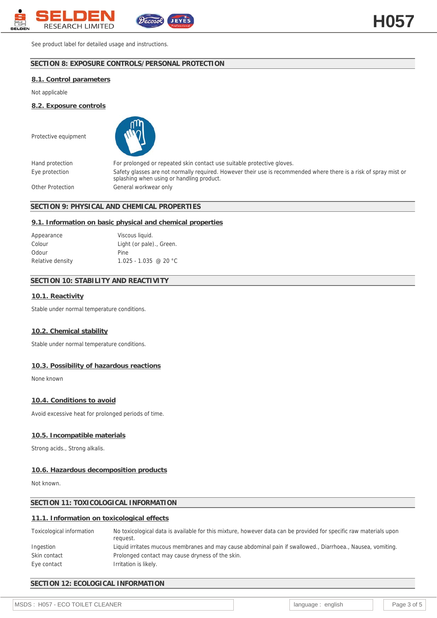

See product label for detailed usage and instructions.

# **SECTION 8: EXPOSURE CONTROLS/PERSONAL PROTECTION**

#### **8.1. Control parameters**

Not applicable

**8.2. Exposure controls**

Protective equipment



Hand protection For prolonged or repeated skin contact use suitable protective gloves. Eye protection Safety glasses are not normally required. However their use is recommended where there is a risk of spray mist or splashing when using or handling product. Other Protection General workwear only

### **SECTION 9: PHYSICAL AND CHEMICAL PROPERTIES**

#### **9.1. Information on basic physical and chemical properties**

| Appearance       | Viscous liquid.          |
|------------------|--------------------------|
| Colour           | Light (or pale)., Green. |
| Odour            | Pine                     |
| Relative density | $1.025 - 1.035$ @ 20 °C  |

# **SECTION 10: STABILITY AND REACTIVITY**

### **10.1. Reactivity**

Stable under normal temperature conditions.

#### **10.2. Chemical stability**

Stable under normal temperature conditions.

#### **10.3. Possibility of hazardous reactions**

None known

#### **10.4. Conditions to avoid**

Avoid excessive heat for prolonged periods of time.

### **10.5. Incompatible materials**

Strong acids., Strong alkalis.

# **10.6. Hazardous decomposition products**

Not known.

# **SECTION 11: TOXICOLOGICAL INFORMATION**

### **11.1. Information on toxicological effects**

| Toxicological information | No toxicological data is available for this mixture, however data can be provided for specific raw materials upon<br>reauest. |
|---------------------------|-------------------------------------------------------------------------------------------------------------------------------|
| Ingestion                 | Liquid irritates mucous membranes and may cause abdominal pain if swallowed., Diarrhoea., Nausea, vomiting.                   |
| Skin contact              | Prolonged contact may cause dryness of the skin.                                                                              |
| Eye contact               | Irritation is likely.                                                                                                         |

# **SECTION 12: ECOLOGICAL INFORMATION**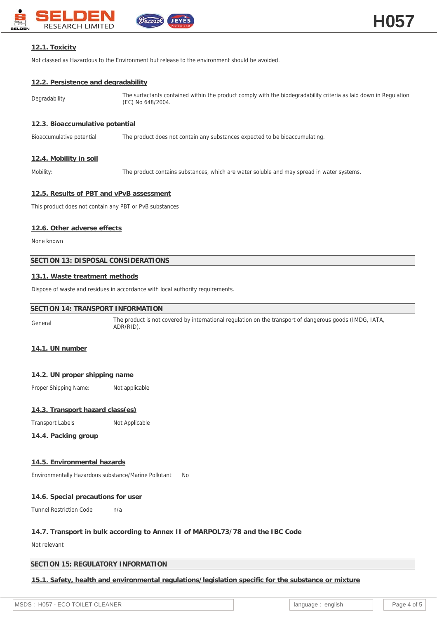

# **12.1. Toxicity**

Not classed as Hazardous to the Environment but release to the environment should be avoided.

### **12.2. Persistence and degradability**

Degradability The surfactants contained within the product comply with the biodegradability criteria as laid down in Regulation (EC) No 648/2004.

### **12.3. Bioaccumulative potential**

Bioaccumulative potential The product does not contain any substances expected to be bioaccumulating.

### **12.4. Mobility in soil**

Mobility: The product contains substances, which are water soluble and may spread in water systems.

### **12.5. Results of PBT and vPvB assessment**

This product does not contain any PBT or PvB substances

### **12.6. Other adverse effects**

None known

# **SECTION 13: DISPOSAL CONSIDERATIONS**

### **13.1. Waste treatment methods**

Dispose of waste and residues in accordance with local authority requirements.

# **SECTION 14: TRANSPORT INFORMATION**

General The product is not covered by international regulation on the transport of dangerous goods (IMDG, IATA, ADR/RID).

# **14.1. UN number**

### **14.2. UN proper shipping name**

Proper Shipping Name: Not applicable

# **14.3. Transport hazard class(es)**

Transport Labels Not Applicable

# **14.4. Packing group**

### **14.5. Environmental hazards**

Environmentally Hazardous substance/Marine Pollutant No

### **14.6. Special precautions for user**

Tunnel Restriction Code n/a

# **14.7. Transport in bulk according to Annex II of MARPOL73/78 and the IBC Code**

Not relevant

### **SECTION 15: REGULATORY INFORMATION**

**15.1. Safety, health and environmental regulations/legislation specific for the substance or mixture**